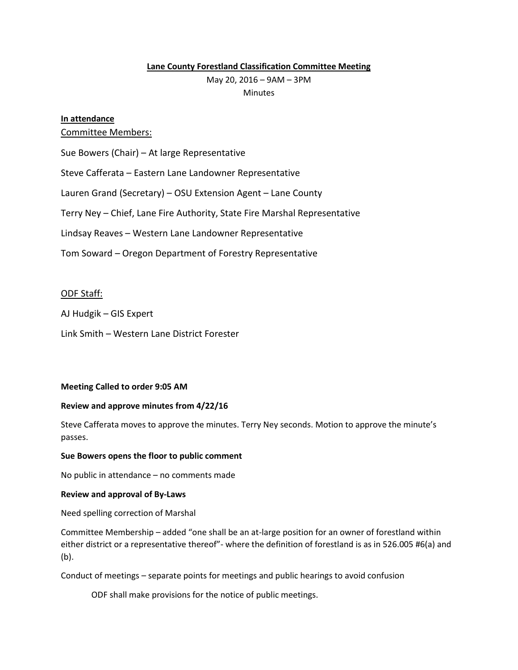# **Lane County Forestland Classification Committee Meeting**

May 20, 2016 – 9AM – 3PM

**Minutes** 

# **In attendance**

# Committee Members:

Sue Bowers (Chair) – At large Representative

Steve Cafferata – Eastern Lane Landowner Representative

Lauren Grand (Secretary) – OSU Extension Agent – Lane County

Terry Ney – Chief, Lane Fire Authority, State Fire Marshal Representative

Lindsay Reaves – Western Lane Landowner Representative

Tom Soward – Oregon Department of Forestry Representative

# ODF Staff:

AJ Hudgik – GIS Expert

Link Smith – Western Lane District Forester

## **Meeting Called to order 9:05 AM**

## **Review and approve minutes from 4/22/16**

Steve Cafferata moves to approve the minutes. Terry Ney seconds. Motion to approve the minute's passes.

## **Sue Bowers opens the floor to public comment**

No public in attendance – no comments made

## **Review and approval of By-Laws**

Need spelling correction of Marshal

Committee Membership – added "one shall be an at-large position for an owner of forestland within either district or a representative thereof"- where the definition of forestland is as in 526.005 #6(a) and (b).

Conduct of meetings – separate points for meetings and public hearings to avoid confusion

ODF shall make provisions for the notice of public meetings.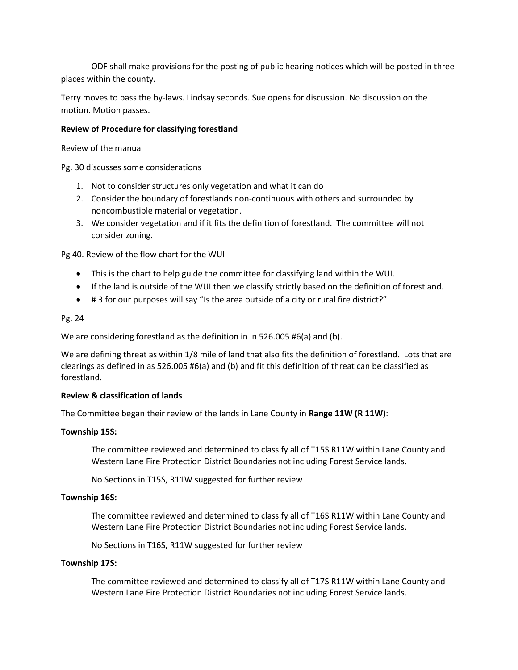ODF shall make provisions for the posting of public hearing notices which will be posted in three places within the county.

Terry moves to pass the by-laws. Lindsay seconds. Sue opens for discussion. No discussion on the motion. Motion passes.

# **Review of Procedure for classifying forestland**

Review of the manual

Pg. 30 discusses some considerations

- 1. Not to consider structures only vegetation and what it can do
- 2. Consider the boundary of forestlands non-continuous with others and surrounded by noncombustible material or vegetation.
- 3. We consider vegetation and if it fits the definition of forestland. The committee will not consider zoning.

Pg 40. Review of the flow chart for the WUI

- This is the chart to help guide the committee for classifying land within the WUI.
- If the land is outside of the WUI then we classify strictly based on the definition of forestland.
- # 3 for our purposes will say "Is the area outside of a city or rural fire district?"

## Pg. 24

We are considering forestland as the definition in in 526.005 #6(a) and (b).

We are defining threat as within 1/8 mile of land that also fits the definition of forestland. Lots that are clearings as defined in as 526.005 #6(a) and (b) and fit this definition of threat can be classified as forestland.

## **Review & classification of lands**

The Committee began their review of the lands in Lane County in **Range 11W (R 11W)**:

## **Township 15S:**

The committee reviewed and determined to classify all of T15S R11W within Lane County and Western Lane Fire Protection District Boundaries not including Forest Service lands.

No Sections in T15S, R11W suggested for further review

## **Township 16S:**

The committee reviewed and determined to classify all of T16S R11W within Lane County and Western Lane Fire Protection District Boundaries not including Forest Service lands.

No Sections in T16S, R11W suggested for further review

## **Township 17S:**

The committee reviewed and determined to classify all of T17S R11W within Lane County and Western Lane Fire Protection District Boundaries not including Forest Service lands.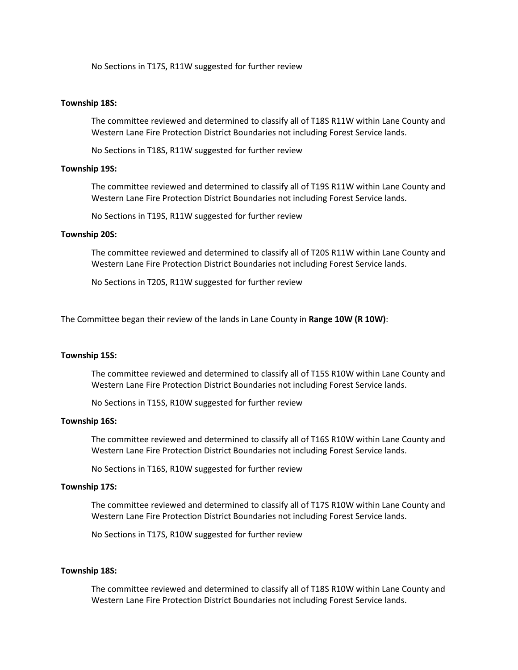No Sections in T17S, R11W suggested for further review

## **Township 18S:**

The committee reviewed and determined to classify all of T18S R11W within Lane County and Western Lane Fire Protection District Boundaries not including Forest Service lands.

No Sections in T18S, R11W suggested for further review

## **Township 19S:**

The committee reviewed and determined to classify all of T19S R11W within Lane County and Western Lane Fire Protection District Boundaries not including Forest Service lands.

No Sections in T19S, R11W suggested for further review

# **Township 20S:**

The committee reviewed and determined to classify all of T20S R11W within Lane County and Western Lane Fire Protection District Boundaries not including Forest Service lands.

No Sections in T20S, R11W suggested for further review

The Committee began their review of the lands in Lane County in **Range 10W (R 10W)**:

#### **Township 15S:**

The committee reviewed and determined to classify all of T15S R10W within Lane County and Western Lane Fire Protection District Boundaries not including Forest Service lands.

No Sections in T15S, R10W suggested for further review

#### **Township 16S:**

The committee reviewed and determined to classify all of T16S R10W within Lane County and Western Lane Fire Protection District Boundaries not including Forest Service lands.

No Sections in T16S, R10W suggested for further review

#### **Township 17S:**

The committee reviewed and determined to classify all of T17S R10W within Lane County and Western Lane Fire Protection District Boundaries not including Forest Service lands.

No Sections in T17S, R10W suggested for further review

## **Township 18S:**

The committee reviewed and determined to classify all of T18S R10W within Lane County and Western Lane Fire Protection District Boundaries not including Forest Service lands.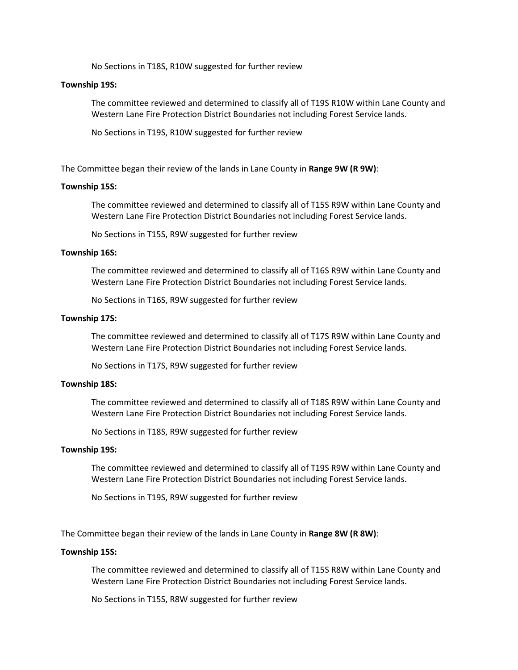No Sections in T18S, R10W suggested for further review

## **Township 19S:**

The committee reviewed and determined to classify all of T19S R10W within Lane County and Western Lane Fire Protection District Boundaries not including Forest Service lands.

No Sections in T19S, R10W suggested for further review

The Committee began their review of the lands in Lane County in **Range 9W (R 9W)**:

## **Township 15S:**

The committee reviewed and determined to classify all of T15S R9W within Lane County and Western Lane Fire Protection District Boundaries not including Forest Service lands.

No Sections in T15S, R9W suggested for further review

## **Township 16S:**

The committee reviewed and determined to classify all of T16S R9W within Lane County and Western Lane Fire Protection District Boundaries not including Forest Service lands.

No Sections in T16S, R9W suggested for further review

## **Township 17S:**

The committee reviewed and determined to classify all of T17S R9W within Lane County and Western Lane Fire Protection District Boundaries not including Forest Service lands.

No Sections in T17S, R9W suggested for further review

#### **Township 18S:**

The committee reviewed and determined to classify all of T18S R9W within Lane County and Western Lane Fire Protection District Boundaries not including Forest Service lands.

No Sections in T18S, R9W suggested for further review

#### **Township 19S:**

The committee reviewed and determined to classify all of T19S R9W within Lane County and Western Lane Fire Protection District Boundaries not including Forest Service lands.

No Sections in T19S, R9W suggested for further review

The Committee began their review of the lands in Lane County in **Range 8W (R 8W)**:

#### **Township 15S:**

The committee reviewed and determined to classify all of T15S R8W within Lane County and Western Lane Fire Protection District Boundaries not including Forest Service lands.

No Sections in T15S, R8W suggested for further review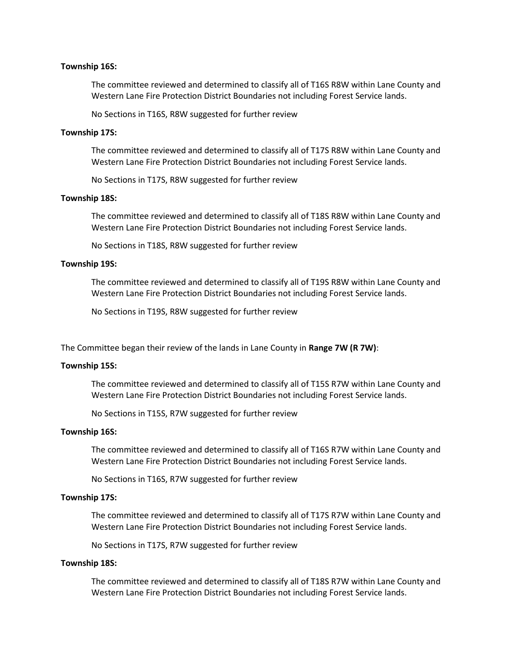## **Township 16S:**

The committee reviewed and determined to classify all of T16S R8W within Lane County and Western Lane Fire Protection District Boundaries not including Forest Service lands.

No Sections in T16S, R8W suggested for further review

## **Township 17S:**

The committee reviewed and determined to classify all of T17S R8W within Lane County and Western Lane Fire Protection District Boundaries not including Forest Service lands.

No Sections in T17S, R8W suggested for further review

## **Township 18S:**

The committee reviewed and determined to classify all of T18S R8W within Lane County and Western Lane Fire Protection District Boundaries not including Forest Service lands.

No Sections in T18S, R8W suggested for further review

## **Township 19S:**

The committee reviewed and determined to classify all of T19S R8W within Lane County and Western Lane Fire Protection District Boundaries not including Forest Service lands.

No Sections in T19S, R8W suggested for further review

The Committee began their review of the lands in Lane County in **Range 7W (R 7W)**:

#### **Township 15S:**

The committee reviewed and determined to classify all of T15S R7W within Lane County and Western Lane Fire Protection District Boundaries not including Forest Service lands.

No Sections in T15S, R7W suggested for further review

## **Township 16S:**

The committee reviewed and determined to classify all of T16S R7W within Lane County and Western Lane Fire Protection District Boundaries not including Forest Service lands.

No Sections in T16S, R7W suggested for further review

## **Township 17S:**

The committee reviewed and determined to classify all of T17S R7W within Lane County and Western Lane Fire Protection District Boundaries not including Forest Service lands.

No Sections in T17S, R7W suggested for further review

## **Township 18S:**

The committee reviewed and determined to classify all of T18S R7W within Lane County and Western Lane Fire Protection District Boundaries not including Forest Service lands.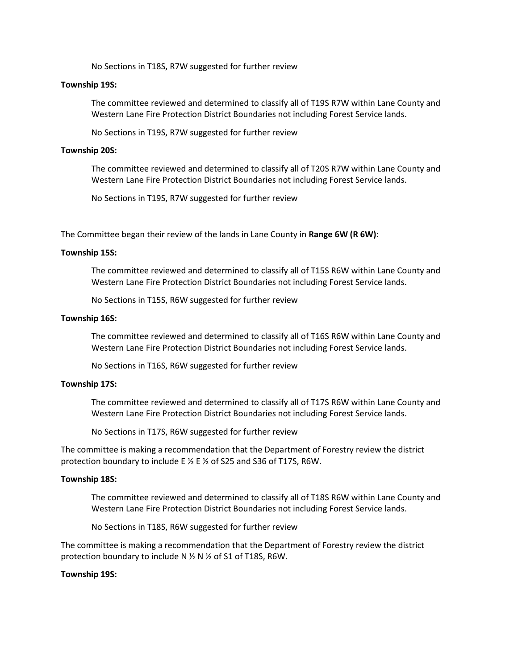No Sections in T18S, R7W suggested for further review

## **Township 19S:**

The committee reviewed and determined to classify all of T19S R7W within Lane County and Western Lane Fire Protection District Boundaries not including Forest Service lands.

No Sections in T19S, R7W suggested for further review

## **Township 20S:**

The committee reviewed and determined to classify all of T20S R7W within Lane County and Western Lane Fire Protection District Boundaries not including Forest Service lands.

No Sections in T19S, R7W suggested for further review

The Committee began their review of the lands in Lane County in **Range 6W (R 6W)**:

## **Township 15S:**

The committee reviewed and determined to classify all of T15S R6W within Lane County and Western Lane Fire Protection District Boundaries not including Forest Service lands.

No Sections in T15S, R6W suggested for further review

## **Township 16S:**

The committee reviewed and determined to classify all of T16S R6W within Lane County and Western Lane Fire Protection District Boundaries not including Forest Service lands.

No Sections in T16S, R6W suggested for further review

#### **Township 17S:**

The committee reviewed and determined to classify all of T17S R6W within Lane County and Western Lane Fire Protection District Boundaries not including Forest Service lands.

No Sections in T17S, R6W suggested for further review

The committee is making a recommendation that the Department of Forestry review the district protection boundary to include E ½ E ½ of S25 and S36 of T17S, R6W.

#### **Township 18S:**

The committee reviewed and determined to classify all of T18S R6W within Lane County and Western Lane Fire Protection District Boundaries not including Forest Service lands.

No Sections in T18S, R6W suggested for further review

The committee is making a recommendation that the Department of Forestry review the district protection boundary to include N ½ N ½ of S1 of T18S, R6W.

## **Township 19S:**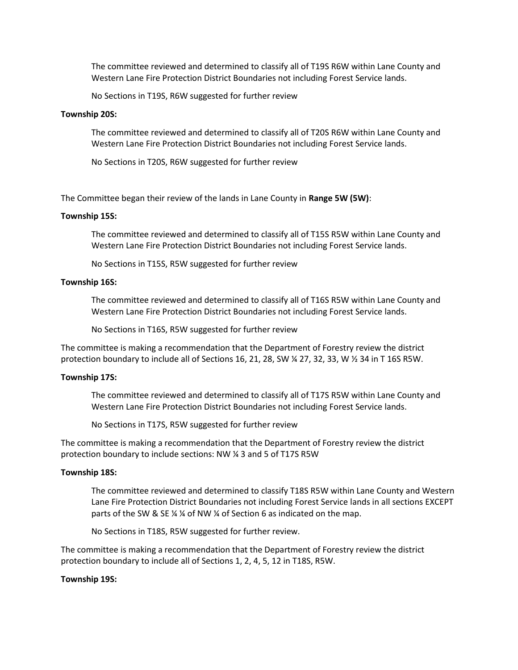The committee reviewed and determined to classify all of T19S R6W within Lane County and Western Lane Fire Protection District Boundaries not including Forest Service lands.

No Sections in T19S, R6W suggested for further review

#### **Township 20S:**

The committee reviewed and determined to classify all of T20S R6W within Lane County and Western Lane Fire Protection District Boundaries not including Forest Service lands.

No Sections in T20S, R6W suggested for further review

The Committee began their review of the lands in Lane County in **Range 5W (5W)**:

## **Township 15S:**

The committee reviewed and determined to classify all of T15S R5W within Lane County and Western Lane Fire Protection District Boundaries not including Forest Service lands.

No Sections in T15S, R5W suggested for further review

## **Township 16S:**

The committee reviewed and determined to classify all of T16S R5W within Lane County and Western Lane Fire Protection District Boundaries not including Forest Service lands.

No Sections in T16S, R5W suggested for further review

The committee is making a recommendation that the Department of Forestry review the district protection boundary to include all of Sections 16, 21, 28, SW ¼ 27, 32, 33, W ½ 34 in T 16S R5W.

#### **Township 17S:**

The committee reviewed and determined to classify all of T17S R5W within Lane County and Western Lane Fire Protection District Boundaries not including Forest Service lands.

No Sections in T17S, R5W suggested for further review

The committee is making a recommendation that the Department of Forestry review the district protection boundary to include sections: NW ¼ 3 and 5 of T17S R5W

#### **Township 18S:**

The committee reviewed and determined to classify T18S R5W within Lane County and Western Lane Fire Protection District Boundaries not including Forest Service lands in all sections EXCEPT parts of the SW & SE ¼ ¼ of NW ¼ of Section 6 as indicated on the map.

No Sections in T18S, R5W suggested for further review.

The committee is making a recommendation that the Department of Forestry review the district protection boundary to include all of Sections 1, 2, 4, 5, 12 in T18S, R5W.

### **Township 19S:**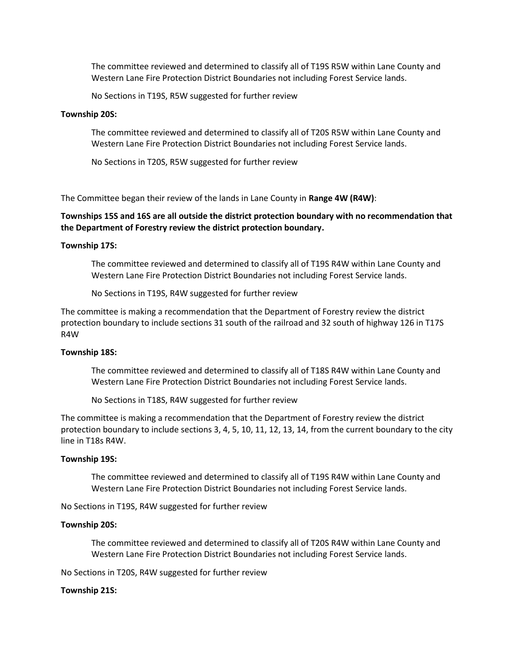The committee reviewed and determined to classify all of T19S R5W within Lane County and Western Lane Fire Protection District Boundaries not including Forest Service lands.

No Sections in T19S, R5W suggested for further review

#### **Township 20S:**

The committee reviewed and determined to classify all of T20S R5W within Lane County and Western Lane Fire Protection District Boundaries not including Forest Service lands.

No Sections in T20S, R5W suggested for further review

The Committee began their review of the lands in Lane County in **Range 4W (R4W)**:

**Townships 15S and 16S are all outside the district protection boundary with no recommendation that the Department of Forestry review the district protection boundary.**

## **Township 17S:**

The committee reviewed and determined to classify all of T19S R4W within Lane County and Western Lane Fire Protection District Boundaries not including Forest Service lands.

No Sections in T19S, R4W suggested for further review

The committee is making a recommendation that the Department of Forestry review the district protection boundary to include sections 31 south of the railroad and 32 south of highway 126 in T17S R4W

## **Township 18S:**

The committee reviewed and determined to classify all of T18S R4W within Lane County and Western Lane Fire Protection District Boundaries not including Forest Service lands.

No Sections in T18S, R4W suggested for further review

The committee is making a recommendation that the Department of Forestry review the district protection boundary to include sections 3, 4, 5, 10, 11, 12, 13, 14, from the current boundary to the city line in T18s R4W.

#### **Township 19S:**

The committee reviewed and determined to classify all of T19S R4W within Lane County and Western Lane Fire Protection District Boundaries not including Forest Service lands.

No Sections in T19S, R4W suggested for further review

#### **Township 20S:**

The committee reviewed and determined to classify all of T20S R4W within Lane County and Western Lane Fire Protection District Boundaries not including Forest Service lands.

No Sections in T20S, R4W suggested for further review

### **Township 21S:**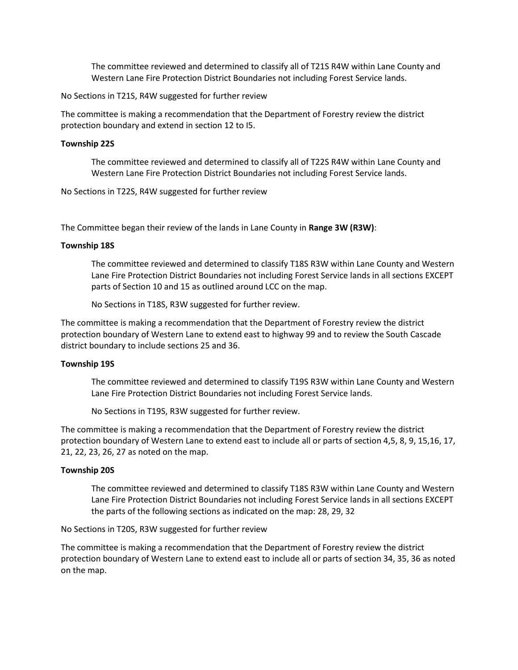The committee reviewed and determined to classify all of T21S R4W within Lane County and Western Lane Fire Protection District Boundaries not including Forest Service lands.

No Sections in T21S, R4W suggested for further review

The committee is making a recommendation that the Department of Forestry review the district protection boundary and extend in section 12 to I5.

## **Township 22S**

The committee reviewed and determined to classify all of T22S R4W within Lane County and Western Lane Fire Protection District Boundaries not including Forest Service lands.

No Sections in T22S, R4W suggested for further review

The Committee began their review of the lands in Lane County in **Range 3W (R3W)**:

## **Township 18S**

The committee reviewed and determined to classify T18S R3W within Lane County and Western Lane Fire Protection District Boundaries not including Forest Service lands in all sections EXCEPT parts of Section 10 and 15 as outlined around LCC on the map.

No Sections in T18S, R3W suggested for further review.

The committee is making a recommendation that the Department of Forestry review the district protection boundary of Western Lane to extend east to highway 99 and to review the South Cascade district boundary to include sections 25 and 36.

## **Township 19S**

The committee reviewed and determined to classify T19S R3W within Lane County and Western Lane Fire Protection District Boundaries not including Forest Service lands.

No Sections in T19S, R3W suggested for further review.

The committee is making a recommendation that the Department of Forestry review the district protection boundary of Western Lane to extend east to include all or parts of section 4,5, 8, 9, 15,16, 17, 21, 22, 23, 26, 27 as noted on the map.

# **Township 20S**

The committee reviewed and determined to classify T18S R3W within Lane County and Western Lane Fire Protection District Boundaries not including Forest Service lands in all sections EXCEPT the parts of the following sections as indicated on the map: 28, 29, 32

# No Sections in T20S, R3W suggested for further review

The committee is making a recommendation that the Department of Forestry review the district protection boundary of Western Lane to extend east to include all or parts of section 34, 35, 36 as noted on the map.